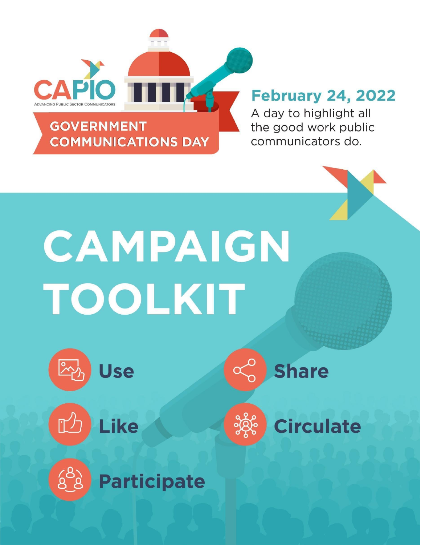

## **February 24, 2022**

A day to highlight all the good work public communicators do.

# CAMPAIGN TOOLKIT





 $68$ 





**Participate** 



**Circulate**